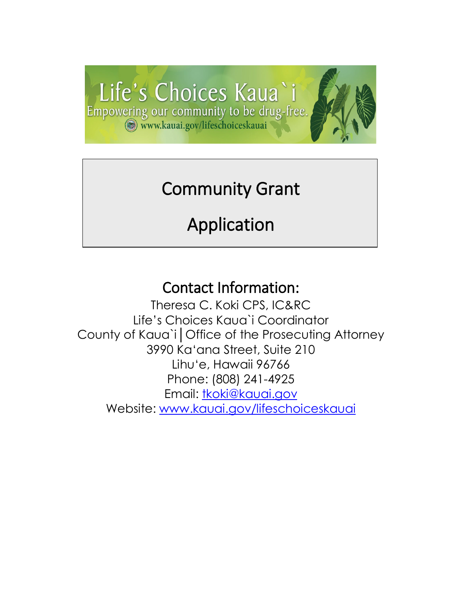

## Community Grant

ֺ֝֬֜

# Application

### Contact Information:

Theresa C. Koki CPS, IC&RC Life's Choices Kaua`i Coordinator County of Kaua`i│Office of the Prosecuting Attorney 3990 Ka'ana Street, Suite 210 Lihu'e, Hawaii 96766 Phone: (808) 241-4925 Email: [tkoki@kauai.gov](mailto:tkoki@kauai.gov) Website: [www.kauai.gov/lifeschoiceskauai](http://www.kauai.gov/lifeschoiceskauai)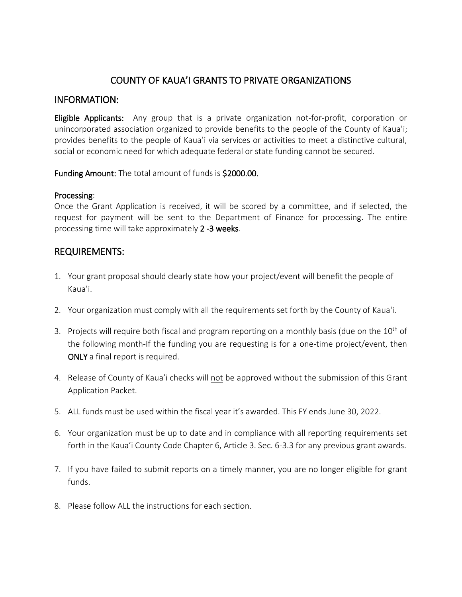#### COUNTY OF KAUA'I GRANTS TO PRIVATE ORGANIZATIONS

#### INFORMATION:

Eligible Applicants: Any group that is a private organization not-for-profit, corporation or unincorporated association organized to provide benefits to the people of the County of Kaua'i; provides benefits to the people of Kaua'i via services or activities to meet a distinctive cultural, social or economic need for which adequate federal or state funding cannot be secured.

Funding Amount: The total amount of funds is \$2000.00.

#### Processing:

Once the Grant Application is received, it will be scored by a committee, and if selected, the request for payment will be sent to the Department of Finance for processing. The entire processing time will take approximately 2 -3 weeks.

#### REQUIREMENTS:

- 1. Your grant proposal should clearly state how your project/event will benefit the people of Kaua'i.
- 2. Your organization must comply with all the requirements set forth by the County of Kaua'i.
- 3. Projects will require both fiscal and program reporting on a monthly basis (due on the  $10<sup>th</sup>$  of the following month-If the funding you are requesting is for a one-time project/event, then ONLY a final report is required.
- 4. Release of County of Kaua'i checks will not be approved without the submission of this Grant Application Packet.
- 5. ALL funds must be used within the fiscal year it's awarded. This FY ends June 30, 2022.
- 6. Your organization must be up to date and in compliance with all reporting requirements set forth in the Kaua'i County Code Chapter 6, Article 3. Sec. 6-3.3 for any previous grant awards.
- 7. If you have failed to submit reports on a timely manner, you are no longer eligible for grant funds.
- 8. Please follow ALL the instructions for each section.